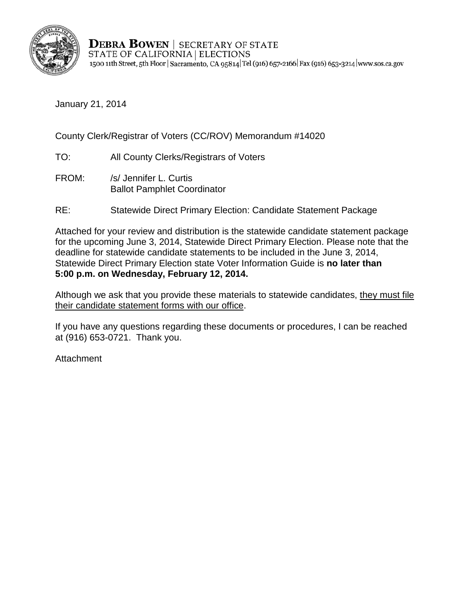

**DEBRA BOWEN | SECRETARY OF STATE** STATE OF CALIFORNIA | ELECTIONS 1500 11th Street, 5th Floor | Sacramento, CA 95814 Tel (916) 657-2166 | Fax (916) 653-3214 | www.sos.ca.gov

January 21, 2014

County Clerk/Registrar of Voters (CC/ROV) Memorandum #14020

- TO: All County Clerks/Registrars of Voters
- FROM: /s/ Jennifer L. Curtis Ballot Pamphlet Coordinator
- RE: Statewide Direct Primary Election: Candidate Statement Package

Attached for your review and distribution is the statewide candidate statement package for the upcoming June 3, 2014, Statewide Direct Primary Election. Please note that the deadline for statewide candidate statements to be included in the June 3, 2014, Statewide Direct Primary Election state Voter Information Guide is **no later than 5:00 p.m. on Wednesday, February 12, 2014.** 

Although we ask that you provide these materials to statewide candidates, they must file their candidate statement forms with our office.

If you have any questions regarding these documents or procedures, I can be reached at (916) 653-0721. Thank you.

**Attachment**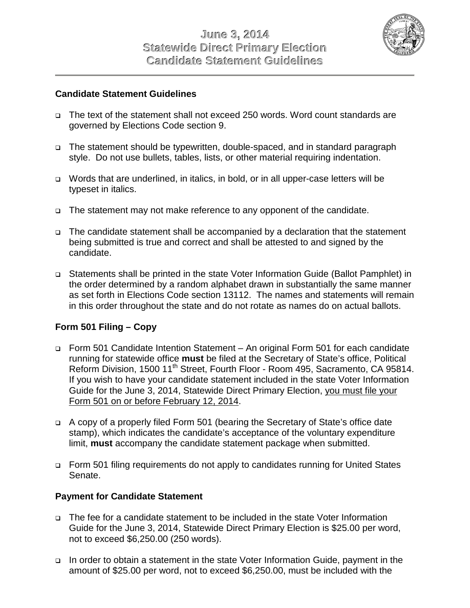

#### **Candidate Statement Guidelines**

- □ The text of the statement shall not exceed 250 words. Word count standards are governed by Elections Code section 9.
- □ The statement should be typewritten, double-spaced, and in standard paragraph style. Do not use bullets, tables, lists, or other material requiring indentation.
- □ Words that are underlined, in italics, in bold, or in all upper-case letters will be typeset in italics.
- □ The statement may not make reference to any opponent of the candidate.
- □ The candidate statement shall be accompanied by a declaration that the statement being submitted is true and correct and shall be attested to and signed by the candidate.
- □ Statements shall be printed in the state Voter Information Guide (Ballot Pamphlet) in the order determined by a random alphabet drawn in substantially the same manner as set forth in Elections Code section 13112. The names and statements will remain in this order throughout the state and do not rotate as names do on actual ballots.

## **Form 501 Filing – Copy**

- Form 501 Candidate Intention Statement An original Form 501 for each candidate running for statewide office **must** be filed at the Secretary of State's office, Political Reform Division, 1500 11<sup>th</sup> Street, Fourth Floor - Room 495, Sacramento, CA 95814. If you wish to have your candidate statement included in the state Voter Information Guide for the June 3, 2014, Statewide Direct Primary Election, you must file your Form 501 on or before February 12, 2014.
- □ A copy of a properly filed Form 501 (bearing the Secretary of State's office date stamp), which indicates the candidate's acceptance of the voluntary expenditure limit, **must** accompany the candidate statement package when submitted.
- □ Form 501 filing requirements do not apply to candidates running for United States Senate.

## **Payment for Candidate Statement**

- The fee for a candidate statement to be included in the state Voter Information Guide for the June 3, 2014, Statewide Direct Primary Election is \$25.00 per word, not to exceed \$6,250.00 (250 words).
- □ In order to obtain a statement in the state Voter Information Guide, payment in the amount of \$25.00 per word, not to exceed \$6,250.00, must be included with the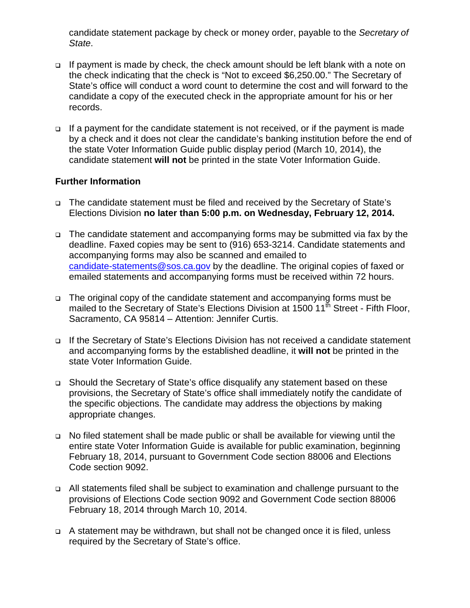candidate statement package by check or money order, payable to the *Secretary of State*.

- □ If payment is made by check, the check amount should be left blank with a note on the check indicating that the check is "Not to exceed \$6,250.00." The Secretary of State's office will conduct a word count to determine the cost and will forward to the candidate a copy of the executed check in the appropriate amount for his or her records.
- □ If a payment for the candidate statement is not received, or if the payment is made by a check and it does not clear the candidate's banking institution before the end of the state Voter Information Guide public display period (March 10, 2014), the candidate statement **will not** be printed in the state Voter Information Guide.

#### **Further Information**

- The candidate statement must be filed and received by the Secretary of State's Elections Division **no later than 5:00 p.m. on Wednesday, February 12, 2014.**
- □ The candidate statement and accompanying forms may be submitted via fax by the deadline. Faxed copies may be sent to (916) 653-3214. Candidate statements and accompanying forms may also be scanned and emailed to [candidate-statements@sos.ca.gov](mailto:candidate-statements@sos.ca.gov) by the deadline. The original copies of faxed or emailed statements and accompanying forms must be received within 72 hours.
- □ The original copy of the candidate statement and accompanying forms must be mailed to the Secretary of State's Elections Division at  $1500 \, 11^{\text{th}}$  Street - Fifth Floor, Sacramento, CA 95814 – Attention: Jennifer Curtis.
- □ If the Secretary of State's Elections Division has not received a candidate statement and accompanying forms by the established deadline, it **will not** be printed in the state Voter Information Guide.
- □ Should the Secretary of State's office disqualify any statement based on these provisions, the Secretary of State's office shall immediately notify the candidate of the specific objections. The candidate may address the objections by making appropriate changes.
- □ No filed statement shall be made public or shall be available for viewing until the entire state Voter Information Guide is available for public examination, beginning February 18, 2014, pursuant to Government Code section 88006 and Elections Code section 9092.
- □ All statements filed shall be subject to examination and challenge pursuant to the provisions of Elections Code section 9092 and Government Code section 88006 February 18, 2014 through March 10, 2014.
- □ A statement may be withdrawn, but shall not be changed once it is filed, unless required by the Secretary of State's office.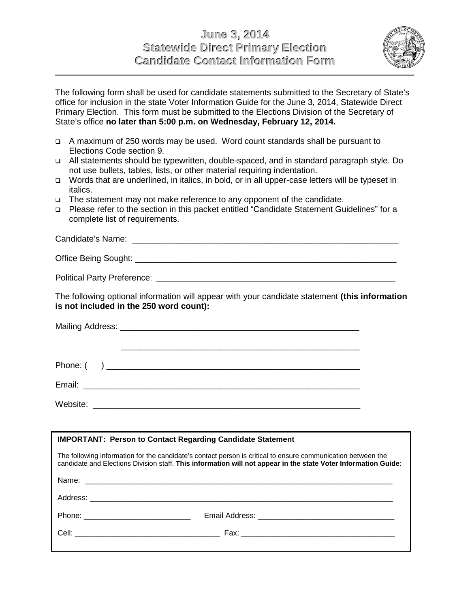## **June 3, 2014 Statewide Direct Primary Election Candidate Contact Information Form**



The following form shall be used for candidate statements submitted to the Secretary of State's office for inclusion in the state Voter Information Guide for the June 3, 2014, Statewide Direct Primary Election. This form must be submitted to the Elections Division of the Secretary of State's office **no later than 5:00 p.m. on Wednesday, February 12, 2014.** 

- A maximum of 250 words may be used. Word count standards shall be pursuant to Elections Code section 9.
- All statements should be typewritten, double-spaced, and in standard paragraph style. Do not use bullets, tables, lists, or other material requiring indentation.
- □ Words that are underlined, in italics, in bold, or in all upper-case letters will be typeset in italics.
- □ The statement may not make reference to any opponent of the candidate.
- □ Please refer to the section in this packet entitled "Candidate Statement Guidelines" for a complete list of requirements.

\_\_\_\_\_\_\_\_\_\_\_\_\_\_\_\_\_\_\_\_\_\_\_\_\_\_\_\_\_\_\_\_\_\_\_\_\_\_\_\_\_\_\_\_\_\_\_\_\_\_\_\_ Candidate's Name:

\_\_\_\_\_\_\_\_\_\_\_\_\_\_\_\_\_\_\_\_\_\_\_\_\_\_\_\_\_\_\_\_\_\_\_\_\_\_\_\_\_\_\_\_\_\_\_\_\_\_\_ Office Being Sought:

\_\_\_\_\_\_\_\_\_\_\_\_\_\_\_\_\_\_\_\_\_\_\_\_\_\_\_\_\_\_\_\_\_\_\_\_\_\_\_\_\_\_\_\_\_\_\_\_\_\_\_\_\_\_\_\_ Political Party Preference:

The following optional information will appear with your candidate statement **(this information is not included in the 250 word count):**

| <b>IMPORTANT: Person to Contact Regarding Candidate Statement</b>                                                                                                                                                              |  |  |  |  |  |
|--------------------------------------------------------------------------------------------------------------------------------------------------------------------------------------------------------------------------------|--|--|--|--|--|
| The following information for the candidate's contact person is critical to ensure communication between the<br>candidate and Elections Division staff. This information will not appear in the state Voter Information Guide: |  |  |  |  |  |
|                                                                                                                                                                                                                                |  |  |  |  |  |
|                                                                                                                                                                                                                                |  |  |  |  |  |
|                                                                                                                                                                                                                                |  |  |  |  |  |
|                                                                                                                                                                                                                                |  |  |  |  |  |
|                                                                                                                                                                                                                                |  |  |  |  |  |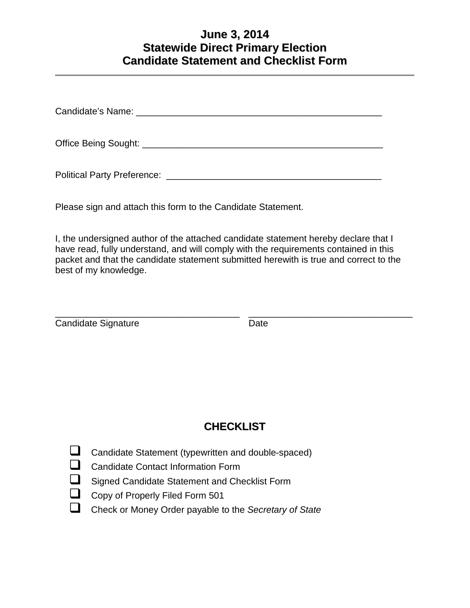# **June 3, 2014 Statewide Direct Primary Election Candidate Statement and Checklist Form**

Candidate's Name: **Example 2018** 

Office Being Sought: **Letter and Sought:**  $\overline{a}$ 

Political Party Preference: \_\_\_\_\_\_\_\_\_\_\_\_\_\_\_\_\_\_\_\_\_\_\_\_\_\_\_\_\_\_\_\_\_\_\_\_\_\_\_\_\_\_

Please sign and attach this form to the Candidate Statement.

I, the undersigned author of the attached candidate statement hereby declare that I have read, fully understand, and will comply with the requirements contained in this packet and that the candidate statement submitted herewith is true and correct to the best of my knowledge.

| Candidate Signature | Date |
|---------------------|------|

# **CHECKLIST**

- **Q** Candidate Statement (typewritten and double-spaced)
- $\Box$ Candidate Contact Information Form
- $\Box$ Signed Candidate Statement and Checklist Form
- $\Box$ Copy of Properly Filed Form 501
- Check or Money Order payable to the *Secretary of State*